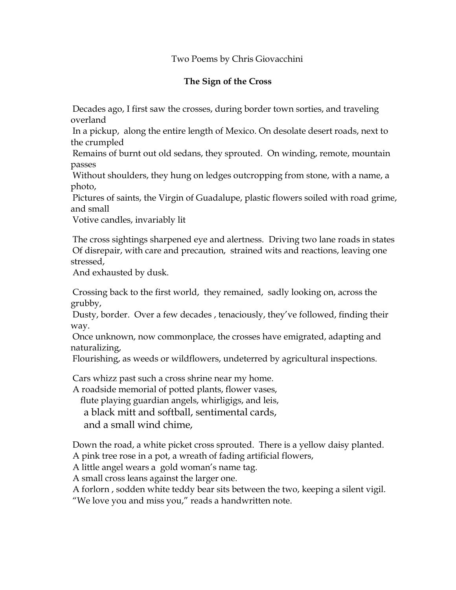## Two Poems by Chris Giovacchini

## **The Sign of the Cross**

Decades ago, I first saw the crosses, during border town sorties, and traveling overland

In a pickup, along the entire length of Mexico. On desolate desert roads, next to the crumpled

Remains of burnt out old sedans, they sprouted. On winding, remote, mountain passes

Without shoulders, they hung on ledges outcropping from stone, with a name, a photo,

Pictures of saints, the Virgin of Guadalupe, plastic flowers soiled with road grime, and small

Votive candles, invariably lit

The cross sightings sharpened eye and alertness. Driving two lane roads in states Of disrepair, with care and precaution, strained wits and reactions, leaving one stressed,

And exhausted by dusk.

Crossing back to the first world, they remained, sadly looking on, across the grubby,

Dusty, border. Over a few decades , tenaciously, they've followed, finding their way.

Once unknown, now commonplace, the crosses have emigrated, adapting and naturalizing,

Flourishing, as weeds or wildflowers, undeterred by agricultural inspections.

Cars whizz past such a cross shrine near my home.

A roadside memorial of potted plants, flower vases,

flute playing guardian angels, whirligigs, and leis,

a black mitt and softball, sentimental cards,

and a small wind chime,

Down the road, a white picket cross sprouted. There is a yellow daisy planted. A pink tree rose in a pot, a wreath of fading artificial flowers,

A little angel wears a gold woman's name tag.

A small cross leans against the larger one.

A forlorn , sodden white teddy bear sits between the two, keeping a silent vigil. "We love you and miss you," reads a handwritten note.